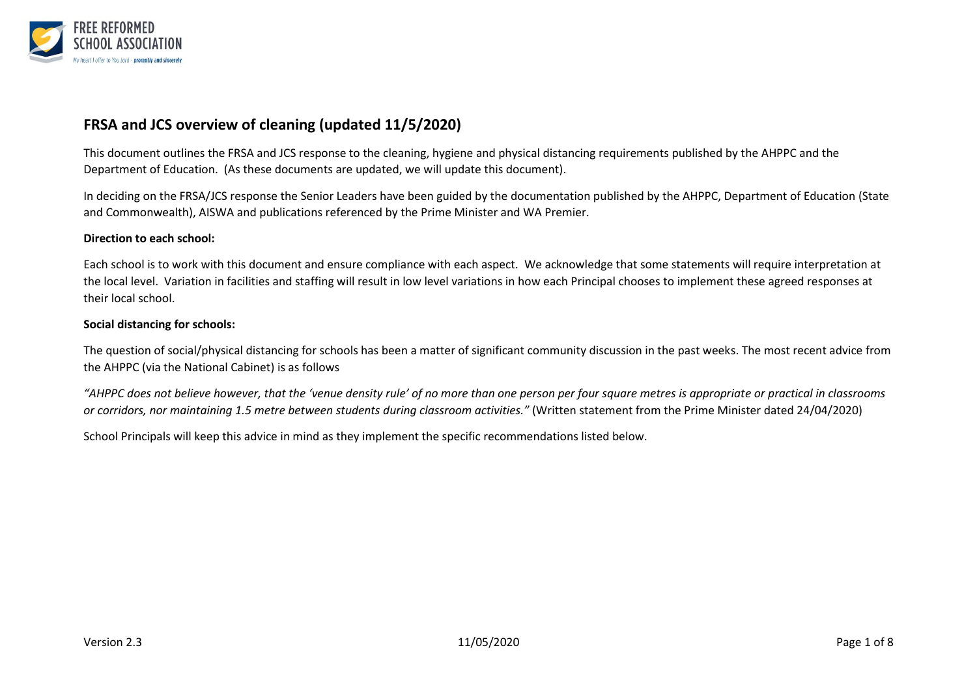

## **FRSA and JCS overview of cleaning (updated 11/5/2020)**

This document outlines the FRSA and JCS response to the cleaning, hygiene and physical distancing requirements published by the AHPPC and the Department of Education. (As these documents are updated, we will update this document).

In deciding on the FRSA/JCS response the Senior Leaders have been guided by the documentation published by the AHPPC, Department of Education (State and Commonwealth), AISWA and publications referenced by the Prime Minister and WA Premier.

#### **Direction to each school:**

Each school is to work with this document and ensure compliance with each aspect. We acknowledge that some statements will require interpretation at the local level. Variation in facilities and staffing will result in low level variations in how each Principal chooses to implement these agreed responses at their local school.

#### **Social distancing for schools:**

The question of social/physical distancing for schools has been a matter of significant community discussion in the past weeks. The most recent advice from the AHPPC (via the National Cabinet) is as follows

*"AHPPC does not believe however, that the 'venue density rule' of no more than one person per four square metres is appropriate or practical in classrooms or corridors, nor maintaining 1.5 metre between students during classroom activities."* (Written statement from the Prime Minister dated 24/04/2020)

School Principals will keep this advice in mind as they implement the specific recommendations listed below.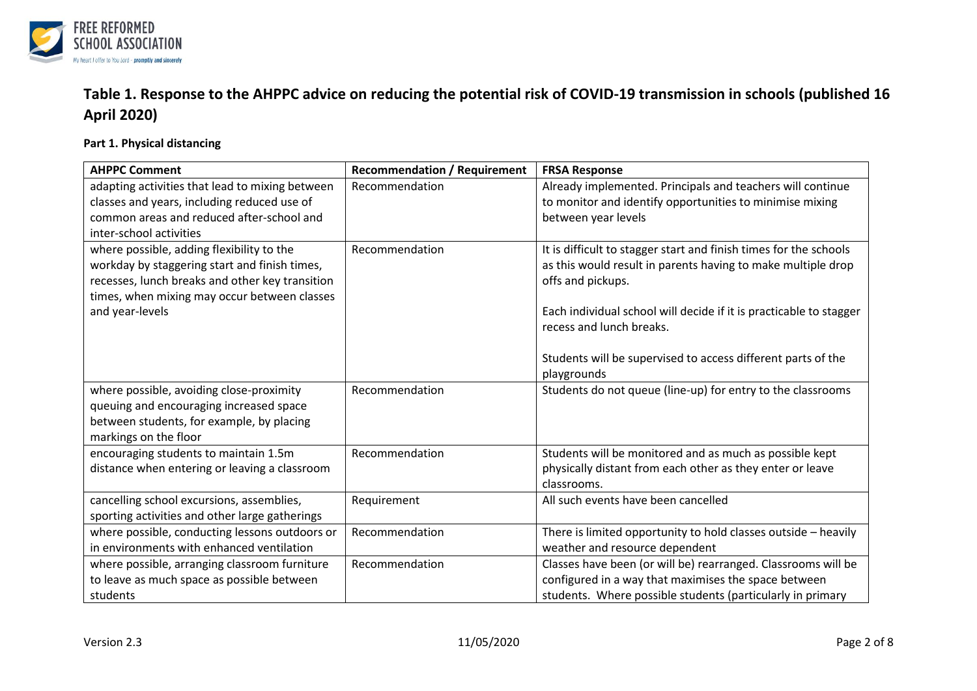

# **Table 1. Response to the AHPPC advice on reducing the potential risk of COVID-19 transmission in schools (published 16 April 2020)**

### **Part 1. Physical distancing**

| <b>AHPPC Comment</b>                            | <b>Recommendation / Requirement</b> | <b>FRSA Response</b>                                               |
|-------------------------------------------------|-------------------------------------|--------------------------------------------------------------------|
| adapting activities that lead to mixing between | Recommendation                      | Already implemented. Principals and teachers will continue         |
| classes and years, including reduced use of     |                                     | to monitor and identify opportunities to minimise mixing           |
| common areas and reduced after-school and       |                                     | between year levels                                                |
| inter-school activities                         |                                     |                                                                    |
| where possible, adding flexibility to the       | Recommendation                      | It is difficult to stagger start and finish times for the schools  |
| workday by staggering start and finish times,   |                                     | as this would result in parents having to make multiple drop       |
| recesses, lunch breaks and other key transition |                                     | offs and pickups.                                                  |
| times, when mixing may occur between classes    |                                     |                                                                    |
| and year-levels                                 |                                     | Each individual school will decide if it is practicable to stagger |
|                                                 |                                     | recess and lunch breaks.                                           |
|                                                 |                                     |                                                                    |
|                                                 |                                     | Students will be supervised to access different parts of the       |
|                                                 |                                     | playgrounds                                                        |
| where possible, avoiding close-proximity        | Recommendation                      | Students do not queue (line-up) for entry to the classrooms        |
| queuing and encouraging increased space         |                                     |                                                                    |
| between students, for example, by placing       |                                     |                                                                    |
| markings on the floor                           |                                     |                                                                    |
| encouraging students to maintain 1.5m           | Recommendation                      | Students will be monitored and as much as possible kept            |
| distance when entering or leaving a classroom   |                                     | physically distant from each other as they enter or leave          |
|                                                 |                                     | classrooms.                                                        |
| cancelling school excursions, assemblies,       | Requirement                         | All such events have been cancelled                                |
| sporting activities and other large gatherings  |                                     |                                                                    |
| where possible, conducting lessons outdoors or  | Recommendation                      | There is limited opportunity to hold classes outside - heavily     |
| in environments with enhanced ventilation       |                                     | weather and resource dependent                                     |
| where possible, arranging classroom furniture   | Recommendation                      | Classes have been (or will be) rearranged. Classrooms will be      |
| to leave as much space as possible between      |                                     | configured in a way that maximises the space between               |
| students                                        |                                     | students. Where possible students (particularly in primary         |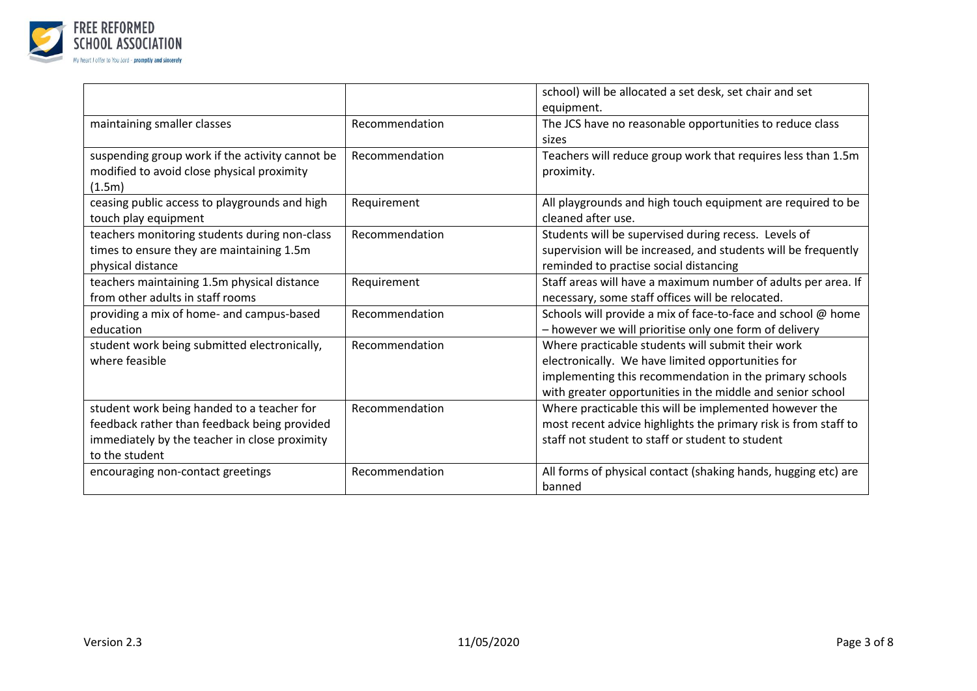

|                                                                                                                                                               |                | school) will be allocated a set desk, set chair and set<br>equipment.                                                                                                                                                           |
|---------------------------------------------------------------------------------------------------------------------------------------------------------------|----------------|---------------------------------------------------------------------------------------------------------------------------------------------------------------------------------------------------------------------------------|
| maintaining smaller classes                                                                                                                                   | Recommendation | The JCS have no reasonable opportunities to reduce class<br>sizes                                                                                                                                                               |
| suspending group work if the activity cannot be<br>modified to avoid close physical proximity<br>(1.5m)                                                       | Recommendation | Teachers will reduce group work that requires less than 1.5m<br>proximity.                                                                                                                                                      |
| ceasing public access to playgrounds and high<br>touch play equipment                                                                                         | Requirement    | All playgrounds and high touch equipment are required to be<br>cleaned after use.                                                                                                                                               |
| teachers monitoring students during non-class<br>times to ensure they are maintaining 1.5m<br>physical distance                                               | Recommendation | Students will be supervised during recess. Levels of<br>supervision will be increased, and students will be frequently<br>reminded to practise social distancing                                                                |
| teachers maintaining 1.5m physical distance<br>from other adults in staff rooms                                                                               | Requirement    | Staff areas will have a maximum number of adults per area. If<br>necessary, some staff offices will be relocated.                                                                                                               |
| providing a mix of home- and campus-based<br>education                                                                                                        | Recommendation | Schools will provide a mix of face-to-face and school @ home<br>- however we will prioritise only one form of delivery                                                                                                          |
| student work being submitted electronically,<br>where feasible                                                                                                | Recommendation | Where practicable students will submit their work<br>electronically. We have limited opportunities for<br>implementing this recommendation in the primary schools<br>with greater opportunities in the middle and senior school |
| student work being handed to a teacher for<br>feedback rather than feedback being provided<br>immediately by the teacher in close proximity<br>to the student | Recommendation | Where practicable this will be implemented however the<br>most recent advice highlights the primary risk is from staff to<br>staff not student to staff or student to student                                                   |
| encouraging non-contact greetings                                                                                                                             | Recommendation | All forms of physical contact (shaking hands, hugging etc) are<br>banned                                                                                                                                                        |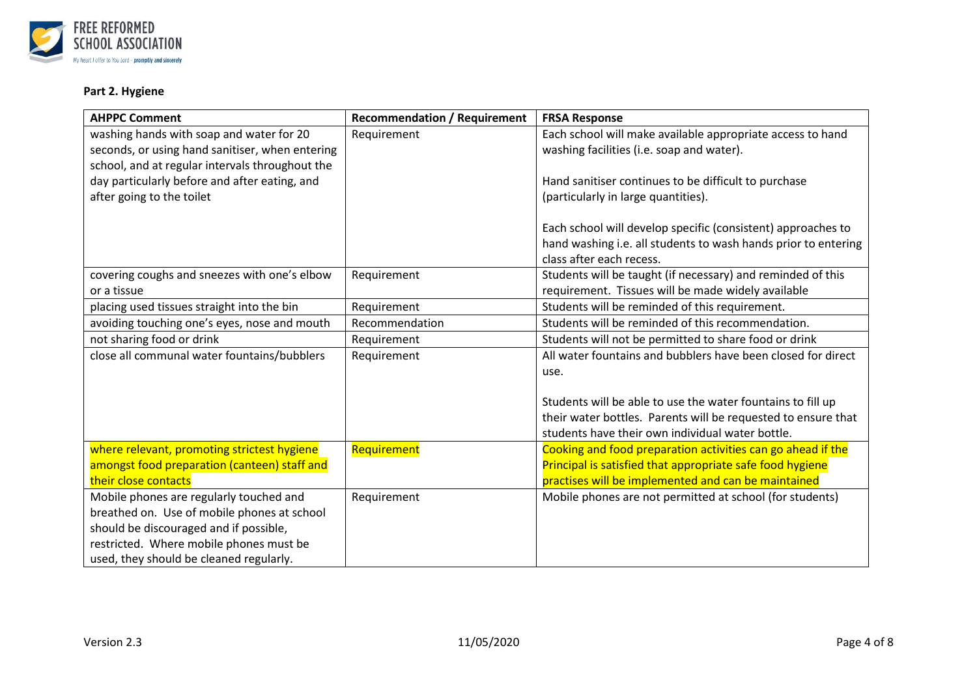

### **Part 2. Hygiene**

| <b>AHPPC Comment</b>                            | <b>Recommendation / Requirement</b> | <b>FRSA Response</b>                                           |
|-------------------------------------------------|-------------------------------------|----------------------------------------------------------------|
| washing hands with soap and water for 20        | Requirement                         | Each school will make available appropriate access to hand     |
| seconds, or using hand sanitiser, when entering |                                     | washing facilities (i.e. soap and water).                      |
| school, and at regular intervals throughout the |                                     |                                                                |
| day particularly before and after eating, and   |                                     | Hand sanitiser continues to be difficult to purchase           |
| after going to the toilet                       |                                     | (particularly in large quantities).                            |
|                                                 |                                     |                                                                |
|                                                 |                                     | Each school will develop specific (consistent) approaches to   |
|                                                 |                                     | hand washing i.e. all students to wash hands prior to entering |
|                                                 |                                     | class after each recess.                                       |
| covering coughs and sneezes with one's elbow    | Requirement                         | Students will be taught (if necessary) and reminded of this    |
| or a tissue                                     |                                     | requirement. Tissues will be made widely available             |
| placing used tissues straight into the bin      | Requirement                         | Students will be reminded of this requirement.                 |
| avoiding touching one's eyes, nose and mouth    | Recommendation                      | Students will be reminded of this recommendation.              |
| not sharing food or drink                       | Requirement                         | Students will not be permitted to share food or drink          |
| close all communal water fountains/bubblers     | Requirement                         | All water fountains and bubblers have been closed for direct   |
|                                                 |                                     | use.                                                           |
|                                                 |                                     |                                                                |
|                                                 |                                     | Students will be able to use the water fountains to fill up    |
|                                                 |                                     | their water bottles. Parents will be requested to ensure that  |
|                                                 |                                     | students have their own individual water bottle.               |
| where relevant, promoting strictest hygiene     | Requirement                         | Cooking and food preparation activities can go ahead if the    |
| amongst food preparation (canteen) staff and    |                                     | Principal is satisfied that appropriate safe food hygiene      |
| their close contacts                            |                                     | practises will be implemented and can be maintained            |
| Mobile phones are regularly touched and         | Requirement                         | Mobile phones are not permitted at school (for students)       |
| breathed on. Use of mobile phones at school     |                                     |                                                                |
| should be discouraged and if possible,          |                                     |                                                                |
| restricted. Where mobile phones must be         |                                     |                                                                |
| used, they should be cleaned regularly.         |                                     |                                                                |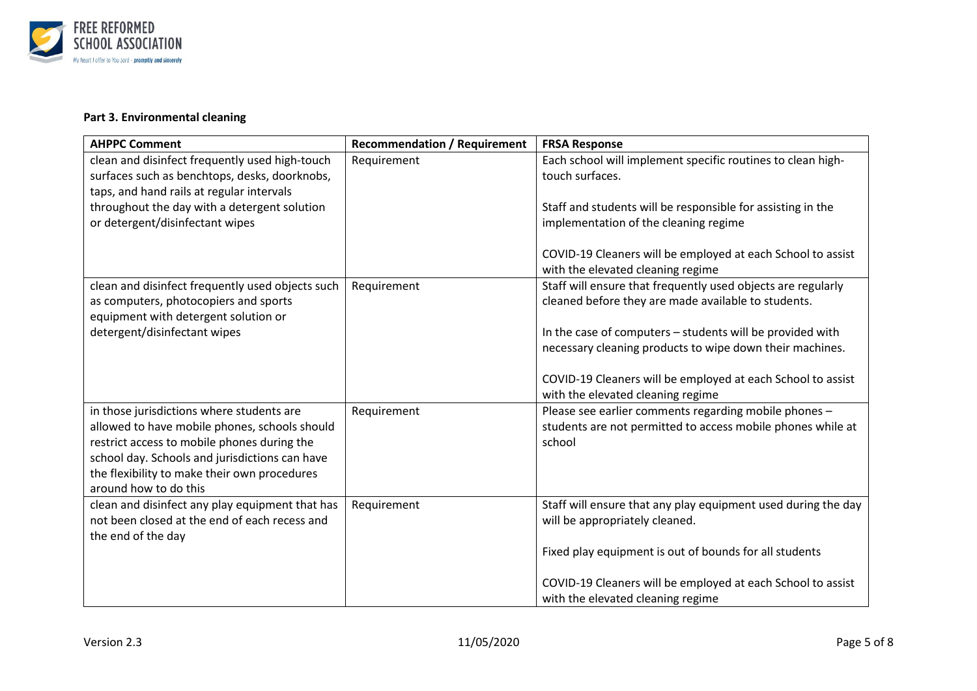

#### **Part 3. Environmental cleaning**

| <b>AHPPC Comment</b>                             | <b>Recommendation / Requirement</b> | <b>FRSA Response</b>                                          |
|--------------------------------------------------|-------------------------------------|---------------------------------------------------------------|
| clean and disinfect frequently used high-touch   | Requirement                         | Each school will implement specific routines to clean high-   |
| surfaces such as benchtops, desks, doorknobs,    |                                     | touch surfaces.                                               |
| taps, and hand rails at regular intervals        |                                     |                                                               |
| throughout the day with a detergent solution     |                                     | Staff and students will be responsible for assisting in the   |
| or detergent/disinfectant wipes                  |                                     | implementation of the cleaning regime                         |
|                                                  |                                     |                                                               |
|                                                  |                                     | COVID-19 Cleaners will be employed at each School to assist   |
|                                                  |                                     | with the elevated cleaning regime                             |
| clean and disinfect frequently used objects such | Requirement                         | Staff will ensure that frequently used objects are regularly  |
| as computers, photocopiers and sports            |                                     | cleaned before they are made available to students.           |
| equipment with detergent solution or             |                                     |                                                               |
| detergent/disinfectant wipes                     |                                     | In the case of computers - students will be provided with     |
|                                                  |                                     | necessary cleaning products to wipe down their machines.      |
|                                                  |                                     |                                                               |
|                                                  |                                     | COVID-19 Cleaners will be employed at each School to assist   |
|                                                  |                                     | with the elevated cleaning regime                             |
| in those jurisdictions where students are        | Requirement                         | Please see earlier comments regarding mobile phones -         |
| allowed to have mobile phones, schools should    |                                     | students are not permitted to access mobile phones while at   |
| restrict access to mobile phones during the      |                                     | school                                                        |
| school day. Schools and jurisdictions can have   |                                     |                                                               |
| the flexibility to make their own procedures     |                                     |                                                               |
| around how to do this                            |                                     |                                                               |
| clean and disinfect any play equipment that has  | Requirement                         | Staff will ensure that any play equipment used during the day |
| not been closed at the end of each recess and    |                                     | will be appropriately cleaned.                                |
| the end of the day                               |                                     |                                                               |
|                                                  |                                     | Fixed play equipment is out of bounds for all students        |
|                                                  |                                     |                                                               |
|                                                  |                                     | COVID-19 Cleaners will be employed at each School to assist   |
|                                                  |                                     | with the elevated cleaning regime                             |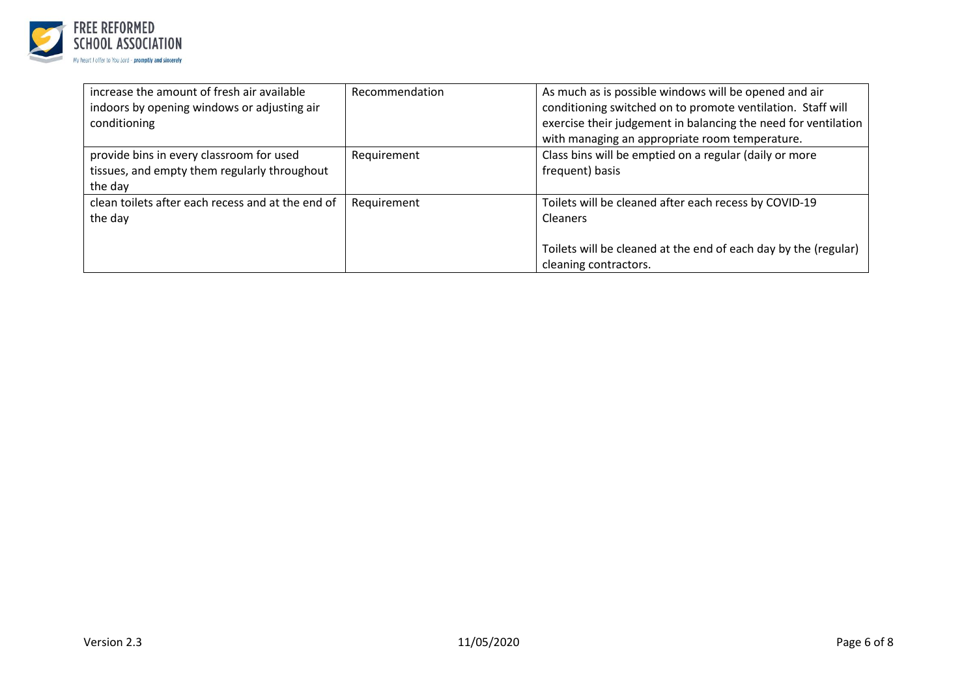

| increase the amount of fresh air available<br>indoors by opening windows or adjusting air<br>conditioning | Recommendation | As much as is possible windows will be opened and air<br>conditioning switched on to promote ventilation. Staff will<br>exercise their judgement in balancing the need for ventilation<br>with managing an appropriate room temperature. |
|-----------------------------------------------------------------------------------------------------------|----------------|------------------------------------------------------------------------------------------------------------------------------------------------------------------------------------------------------------------------------------------|
| provide bins in every classroom for used<br>tissues, and empty them regularly throughout<br>the day       | Requirement    | Class bins will be emptied on a regular (daily or more<br>frequent) basis                                                                                                                                                                |
| clean toilets after each recess and at the end of<br>the day                                              | Requirement    | Toilets will be cleaned after each recess by COVID-19<br>Cleaners<br>Toilets will be cleaned at the end of each day by the (regular)<br>cleaning contractors.                                                                            |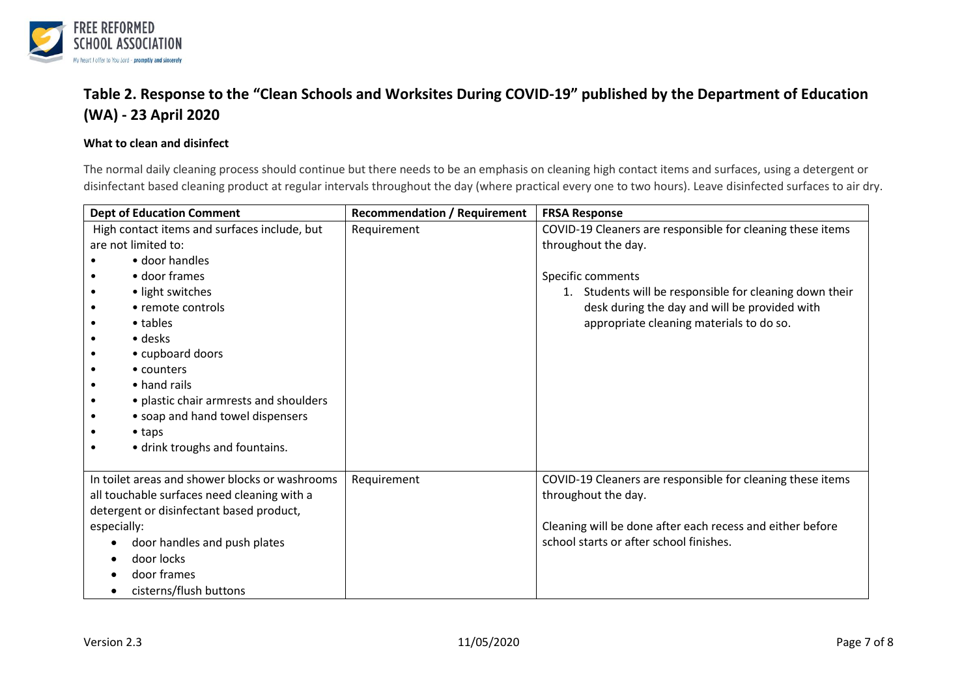

## **Table 2. Response to the "Clean Schools and Worksites During COVID-19" published by the Department of Education (WA) - 23 April 2020**

#### **What to clean and disinfect**

The normal daily cleaning process should continue but there needs to be an emphasis on cleaning high contact items and surfaces, using a detergent or disinfectant based cleaning product at regular intervals throughout the day (where practical every one to two hours). Leave disinfected surfaces to air dry.

| <b>Dept of Education Comment</b>               | <b>Recommendation / Requirement</b> | <b>FRSA Response</b>                                       |
|------------------------------------------------|-------------------------------------|------------------------------------------------------------|
| High contact items and surfaces include, but   | Requirement                         | COVID-19 Cleaners are responsible for cleaning these items |
| are not limited to:                            |                                     | throughout the day.                                        |
| • door handles                                 |                                     |                                                            |
| • door frames                                  |                                     | Specific comments                                          |
| • light switches                               |                                     | 1. Students will be responsible for cleaning down their    |
| • remote controls                              |                                     | desk during the day and will be provided with              |
| $\bullet$ tables                               |                                     | appropriate cleaning materials to do so.                   |
| • desks                                        |                                     |                                                            |
| • cupboard doors                               |                                     |                                                            |
| • counters                                     |                                     |                                                            |
| $\bullet$ hand rails<br>$\bullet$              |                                     |                                                            |
| · plastic chair armrests and shoulders         |                                     |                                                            |
| • soap and hand towel dispensers               |                                     |                                                            |
| $\bullet$ taps                                 |                                     |                                                            |
| • drink troughs and fountains.                 |                                     |                                                            |
|                                                |                                     |                                                            |
| In toilet areas and shower blocks or washrooms | Requirement                         | COVID-19 Cleaners are responsible for cleaning these items |
| all touchable surfaces need cleaning with a    |                                     | throughout the day.                                        |
| detergent or disinfectant based product,       |                                     |                                                            |
| especially:                                    |                                     | Cleaning will be done after each recess and either before  |
| door handles and push plates                   |                                     | school starts or after school finishes.                    |
| door locks                                     |                                     |                                                            |
| door frames                                    |                                     |                                                            |
| cisterns/flush buttons                         |                                     |                                                            |